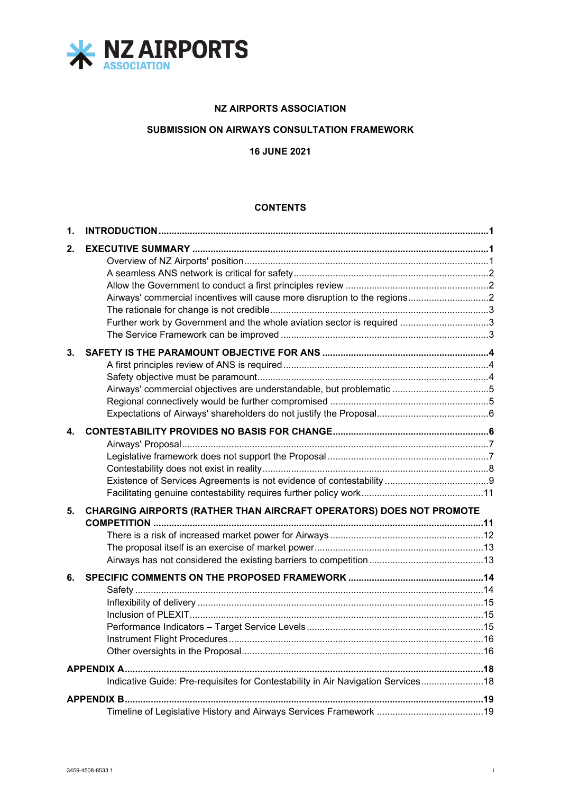

## **NZ AIRPORTS ASSOCIATION**

## **SUBMISSION ON AIRWAYS CONSULTATION FRAMEWORK**

## **16 JUNE 2021**

## **CONTENTS**

| 1. |                                                                                  |  |
|----|----------------------------------------------------------------------------------|--|
| 2. | Further work by Government and the whole aviation sector is required 3           |  |
| 3. | Airways' commercial objectives are understandable, but problematic 5             |  |
|    |                                                                                  |  |
| 5. | CHARGING AIRPORTS (RATHER THAN AIRCRAFT OPERATORS) DOES NOT PROMOTE              |  |
| 6. |                                                                                  |  |
|    | Indicative Guide: Pre-requisites for Contestability in Air Navigation Services18 |  |
|    |                                                                                  |  |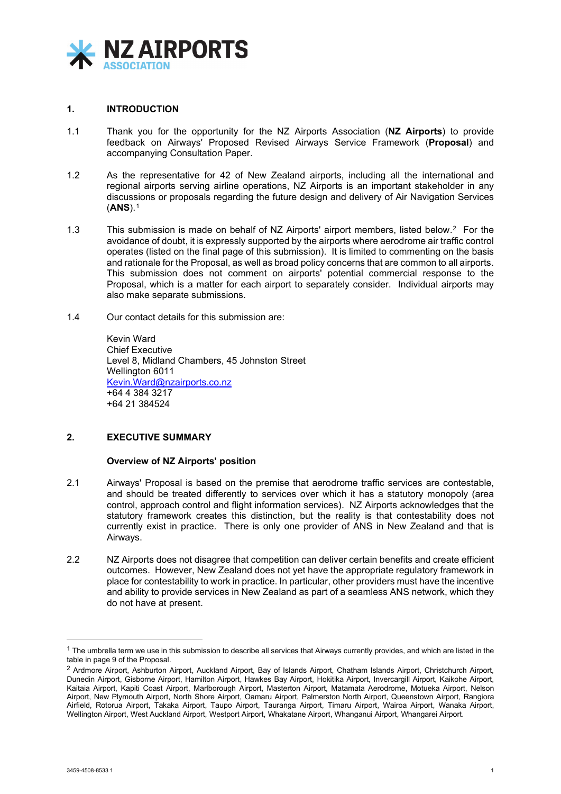

## **1. INTRODUCTION**

- 1.1 Thank you for the opportunity for the NZ Airports Association (**NZ Airports**) to provide feedback on Airways' Proposed Revised Airways Service Framework (**Proposal**) and accompanying Consultation Paper.
- 1.2 As the representative for 42 of New Zealand airports, including all the international and regional airports serving airline operations, NZ Airports is an important stakeholder in any discussions or proposals regarding the future design and delivery of Air Navigation Services (**ANS**).[1](#page-1-0)
- 1.3 This submission is made on behalf of NZ Airports' airport members, listed below.[2](#page-1-1) For the avoidance of doubt, it is expressly supported by the airports where aerodrome air traffic control operates (listed on the final page of this submission). It is limited to commenting on the basis and rationale for the Proposal, as well as broad policy concerns that are common to all airports. This submission does not comment on airports' potential commercial response to the Proposal, which is a matter for each airport to separately consider. Individual airports may also make separate submissions.
- 1.4 Our contact details for this submission are:

Kevin Ward Chief Executive Level 8, Midland Chambers, 45 Johnston Street Wellington 6011 [Kevin.Ward@nzairports.co.nz](mailto:Kevin.Ward@nzairports.co.nz) +64 4 384 3217 +64 21 384524

## **2. EXECUTIVE SUMMARY**

## **Overview of NZ Airports' position**

- 2.1 Airways' Proposal is based on the premise that aerodrome traffic services are contestable, and should be treated differently to services over which it has a statutory monopoly (area control, approach control and flight information services). NZ Airports acknowledges that the statutory framework creates this distinction, but the reality is that contestability does not currently exist in practice. There is only one provider of ANS in New Zealand and that is Airways.
- 2.2 NZ Airports does not disagree that competition can deliver certain benefits and create efficient outcomes. However, New Zealand does not yet have the appropriate regulatory framework in place for contestability to work in practice. In particular, other providers must have the incentive and ability to provide services in New Zealand as part of a seamless ANS network, which they do not have at present.

<span id="page-1-0"></span> $1$  The umbrella term we use in this submission to describe all services that Airways currently provides, and which are listed in the table in page 9 of the Proposal.

<span id="page-1-1"></span><sup>2</sup> Ardmore Airport, Ashburton Airport, Auckland Airport, Bay of Islands Airport, Chatham Islands Airport, Christchurch Airport, Dunedin Airport, Gisborne Airport, Hamilton Airport, Hawkes Bay Airport, Hokitika Airport, Invercargill Airport, Kaikohe Airport, Kaitaia Airport, Kapiti Coast Airport, Marlborough Airport, Masterton Airport, Matamata Aerodrome, Motueka Airport, Nelson Airport, New Plymouth Airport, North Shore Airport, Oamaru Airport, Palmerston North Airport, Queenstown Airport, Rangiora Airfield, Rotorua Airport, Takaka Airport, Taupo Airport, Tauranga Airport, Timaru Airport, Wairoa Airport, Wanaka Airport, Wellington Airport, West Auckland Airport, Westport Airport, Whakatane Airport, Whanganui Airport, Whangarei Airport.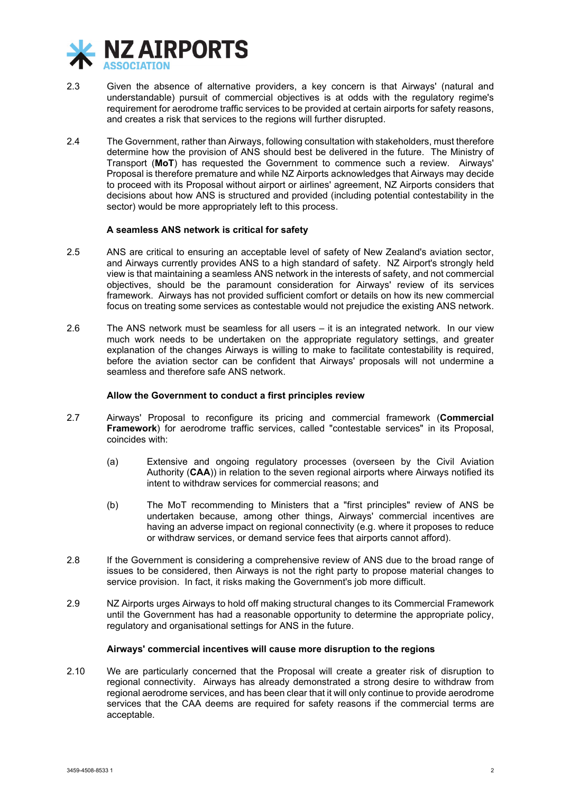

- 2.3 Given the absence of alternative providers, a key concern is that Airways' (natural and understandable) pursuit of commercial objectives is at odds with the regulatory regime's requirement for aerodrome traffic services to be provided at certain airports for safety reasons, and creates a risk that services to the regions will further disrupted.
- 2.4 The Government, rather than Airways, following consultation with stakeholders, must therefore determine how the provision of ANS should best be delivered in the future. The Ministry of Transport (**MoT**) has requested the Government to commence such a review. Airways' Proposal is therefore premature and while NZ Airports acknowledges that Airways may decide to proceed with its Proposal without airport or airlines' agreement, NZ Airports considers that decisions about how ANS is structured and provided (including potential contestability in the sector) would be more appropriately left to this process.

#### **A seamless ANS network is critical for safety**

- 2.5 ANS are critical to ensuring an acceptable level of safety of New Zealand's aviation sector, and Airways currently provides ANS to a high standard of safety. NZ Airport's strongly held view is that maintaining a seamless ANS network in the interests of safety, and not commercial objectives, should be the paramount consideration for Airways' review of its services framework. Airways has not provided sufficient comfort or details on how its new commercial focus on treating some services as contestable would not prejudice the existing ANS network.
- 2.6 The ANS network must be seamless for all users it is an integrated network. In our view much work needs to be undertaken on the appropriate regulatory settings, and greater explanation of the changes Airways is willing to make to facilitate contestability is required, before the aviation sector can be confident that Airways' proposals will not undermine a seamless and therefore safe ANS network.

#### **Allow the Government to conduct a first principles review**

- 2.7 Airways' Proposal to reconfigure its pricing and commercial framework (**Commercial Framework**) for aerodrome traffic services, called "contestable services" in its Proposal, coincides with:
	- (a) Extensive and ongoing regulatory processes (overseen by the Civil Aviation Authority (**CAA**)) in relation to the seven regional airports where Airways notified its intent to withdraw services for commercial reasons; and
	- (b) The MoT recommending to Ministers that a "first principles" review of ANS be undertaken because, among other things, Airways' commercial incentives are having an adverse impact on regional connectivity (e.g. where it proposes to reduce or withdraw services, or demand service fees that airports cannot afford).
- 2.8 If the Government is considering a comprehensive review of ANS due to the broad range of issues to be considered, then Airways is not the right party to propose material changes to service provision. In fact, it risks making the Government's job more difficult.
- 2.9 NZ Airports urges Airways to hold off making structural changes to its Commercial Framework until the Government has had a reasonable opportunity to determine the appropriate policy, regulatory and organisational settings for ANS in the future.

## **Airways' commercial incentives will cause more disruption to the regions**

2.10 We are particularly concerned that the Proposal will create a greater risk of disruption to regional connectivity. Airways has already demonstrated a strong desire to withdraw from regional aerodrome services, and has been clear that it will only continue to provide aerodrome services that the CAA deems are required for safety reasons if the commercial terms are acceptable.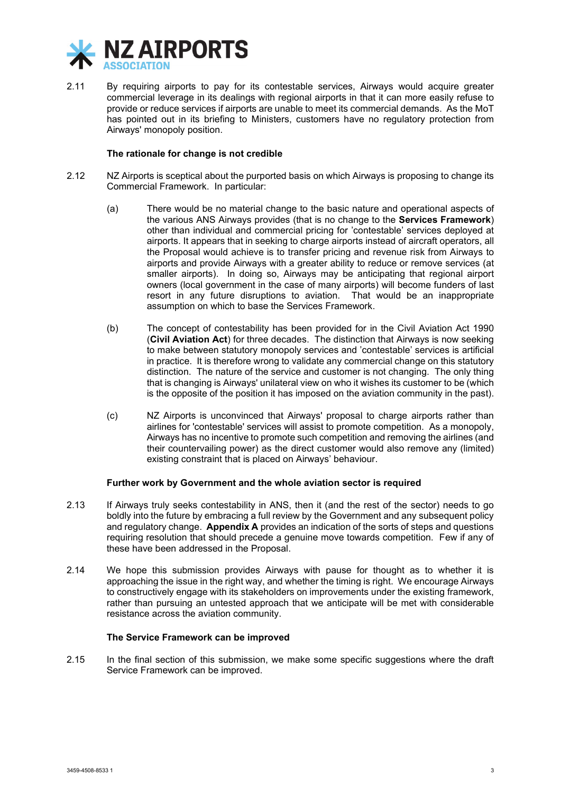

2.11 By requiring airports to pay for its contestable services, Airways would acquire greater commercial leverage in its dealings with regional airports in that it can more easily refuse to provide or reduce services if airports are unable to meet its commercial demands. As the MoT has pointed out in its briefing to Ministers, customers have no regulatory protection from Airways' monopoly position.

## **The rationale for change is not credible**

- 2.12 NZ Airports is sceptical about the purported basis on which Airways is proposing to change its Commercial Framework. In particular:
	- (a) There would be no material change to the basic nature and operational aspects of the various ANS Airways provides (that is no change to the **Services Framework**) other than individual and commercial pricing for 'contestable' services deployed at airports. It appears that in seeking to charge airports instead of aircraft operators, all the Proposal would achieve is to transfer pricing and revenue risk from Airways to airports and provide Airways with a greater ability to reduce or remove services (at smaller airports). In doing so, Airways may be anticipating that regional airport owners (local government in the case of many airports) will become funders of last resort in any future disruptions to aviation. That would be an inappropriate assumption on which to base the Services Framework.
	- (b) The concept of contestability has been provided for in the Civil Aviation Act 1990 (**Civil Aviation Act**) for three decades. The distinction that Airways is now seeking to make between statutory monopoly services and 'contestable' services is artificial in practice. It is therefore wrong to validate any commercial change on this statutory distinction. The nature of the service and customer is not changing. The only thing that is changing is Airways' unilateral view on who it wishes its customer to be (which is the opposite of the position it has imposed on the aviation community in the past).
	- (c) NZ Airports is unconvinced that Airways' proposal to charge airports rather than airlines for 'contestable' services will assist to promote competition. As a monopoly, Airways has no incentive to promote such competition and removing the airlines (and their countervailing power) as the direct customer would also remove any (limited) existing constraint that is placed on Airways' behaviour.

## **Further work by Government and the whole aviation sector is required**

- 2.13 If Airways truly seeks contestability in ANS, then it (and the rest of the sector) needs to go boldly into the future by embracing a full review by the Government and any subsequent policy and regulatory change. **Appendix A** provides an indication of the sorts of steps and questions requiring resolution that should precede a genuine move towards competition. Few if any of these have been addressed in the Proposal.
- 2.14 We hope this submission provides Airways with pause for thought as to whether it is approaching the issue in the right way, and whether the timing is right. We encourage Airways to constructively engage with its stakeholders on improvements under the existing framework, rather than pursuing an untested approach that we anticipate will be met with considerable resistance across the aviation community.

#### **The Service Framework can be improved**

2.15 In the final section of this submission, we make some specific suggestions where the draft Service Framework can be improved.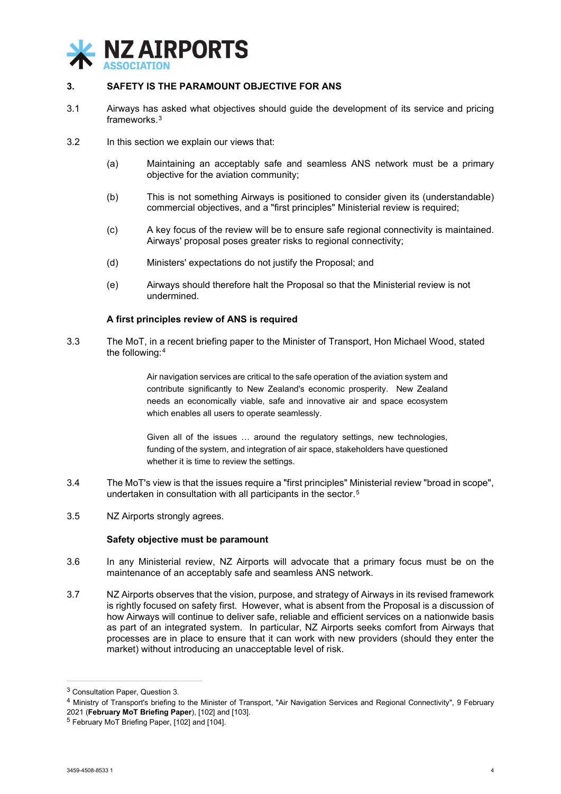

## **3. SAFETY IS THE PARAMOUNT OBJECTIVE FOR ANS**

- 3.1 Airways has asked what objectives should guide the development of its service and pricing frameworks.[3](#page-4-0)
- 3.2 In this section we explain our views that:
	- (a) Maintaining an acceptably safe and seamless ANS network must be a primary objective for the aviation community;
	- (b) This is not something Airways is positioned to consider given its (understandable) commercial objectives, and a "first principles" Ministerial review is required;
	- (c) A key focus of the review will be to ensure safe regional connectivity is maintained. Airways' proposal poses greater risks to regional connectivity;
	- (d) Ministers' expectations do not justify the Proposal; and
	- (e) Airways should therefore halt the Proposal so that the Ministerial review is not undermined.

#### **A first principles review of ANS is required**

3.3 The MoT, in a recent briefing paper to the Minister of Transport, Hon Michael Wood, stated the following:[4](#page-4-1)

> Air navigation services are critical to the safe operation of the aviation system and contribute significantly to New Zealand's economic prosperity. New Zealand needs an economically viable, safe and innovative air and space ecosystem which enables all users to operate seamlessly.

> Given all of the issues … around the regulatory settings, new technologies, funding of the system, and integration of air space, stakeholders have questioned whether it is time to review the settings.

- 3.4 The MoT's view is that the issues require a "first principles" Ministerial review "broad in scope", undertaken in consultation with all participants in the sector.<sup>5</sup>
- 3.5 NZ Airports strongly agrees.

#### **Safety objective must be paramount**

- 3.6 In any Ministerial review, NZ Airports will advocate that a primary focus must be on the maintenance of an acceptably safe and seamless ANS network.
- 3.7 NZ Airports observes that the vision, purpose, and strategy of Airways in its revised framework is rightly focused on safety first. However, what is absent from the Proposal is a discussion of how Airways will continue to deliver safe, reliable and efficient services on a nationwide basis as part of an integrated system. In particular, NZ Airports seeks comfort from Airways that processes are in place to ensure that it can work with new providers (should they enter the market) without introducing an unacceptable level of risk.

<span id="page-4-0"></span><sup>3</sup> Consultation Paper, Question 3.

<span id="page-4-1"></span><sup>4</sup> Ministry of Transport's briefing to the Minister of Transport, "Air Navigation Services and Regional Connectivity", 9 February 2021 (**February MoT Briefing Paper**), [102] and [103].

<span id="page-4-2"></span><sup>5</sup> February MoT Briefing Paper, [102] and [104].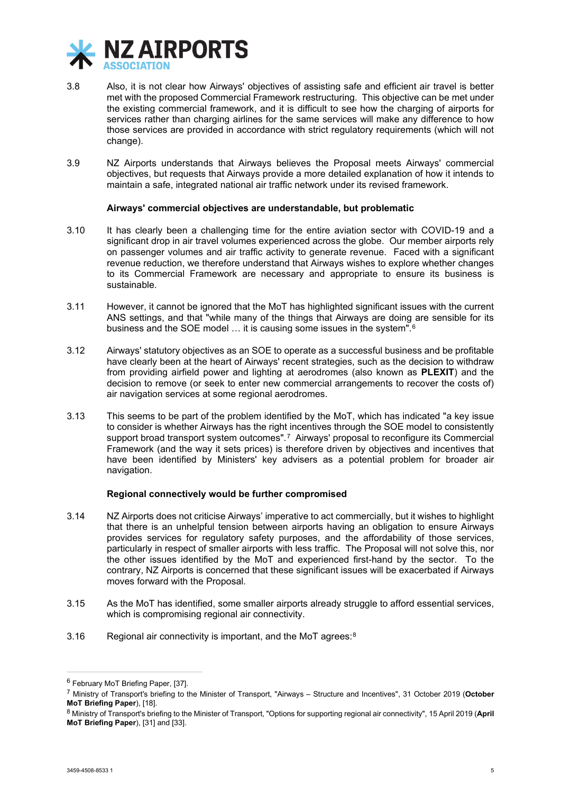

- 3.8 Also, it is not clear how Airways' objectives of assisting safe and efficient air travel is better met with the proposed Commercial Framework restructuring. This objective can be met under the existing commercial framework, and it is difficult to see how the charging of airports for services rather than charging airlines for the same services will make any difference to how those services are provided in accordance with strict regulatory requirements (which will not change).
- 3.9 NZ Airports understands that Airways believes the Proposal meets Airways' commercial objectives, but requests that Airways provide a more detailed explanation of how it intends to maintain a safe, integrated national air traffic network under its revised framework.

#### **Airways' commercial objectives are understandable, but problematic**

- 3.10 It has clearly been a challenging time for the entire aviation sector with COVID-19 and a significant drop in air travel volumes experienced across the globe. Our member airports rely on passenger volumes and air traffic activity to generate revenue. Faced with a significant revenue reduction, we therefore understand that Airways wishes to explore whether changes to its Commercial Framework are necessary and appropriate to ensure its business is sustainable.
- 3.11 However, it cannot be ignored that the MoT has highlighted significant issues with the current ANS settings, and that "while many of the things that Airways are doing are sensible for its business and the SOE model … it is causing some issues in the system".[6](#page-5-0)
- 3.12 Airways' statutory objectives as an SOE to operate as a successful business and be profitable have clearly been at the heart of Airways' recent strategies, such as the decision to withdraw from providing airfield power and lighting at aerodromes (also known as **PLEXIT**) and the decision to remove (or seek to enter new commercial arrangements to recover the costs of) air navigation services at some regional aerodromes.
- 3.13 This seems to be part of the problem identified by the MoT, which has indicated "a key issue to consider is whether Airways has the right incentives through the SOE model to consistently support broad transport system outcomes".<sup>[7](#page-5-1)</sup> Airways' proposal to reconfigure its Commercial Framework (and the way it sets prices) is therefore driven by objectives and incentives that have been identified by Ministers' key advisers as a potential problem for broader air navigation.

## **Regional connectively would be further compromised**

- 3.14 NZ Airports does not criticise Airways' imperative to act commercially, but it wishes to highlight that there is an unhelpful tension between airports having an obligation to ensure Airways provides services for regulatory safety purposes, and the affordability of those services, particularly in respect of smaller airports with less traffic. The Proposal will not solve this, nor the other issues identified by the MoT and experienced first-hand by the sector. To the contrary, NZ Airports is concerned that these significant issues will be exacerbated if Airways moves forward with the Proposal.
- 3.15 As the MoT has identified, some smaller airports already struggle to afford essential services, which is compromising regional air connectivity.
- 3.16 Regional air connectivity is important, and the MoT agrees:[8](#page-5-2)

<span id="page-5-1"></span><span id="page-5-0"></span><sup>6</sup> February MoT Briefing Paper, [37].

<sup>7</sup> Ministry of Transport's briefing to the Minister of Transport, "Airways – Structure and Incentives", 31 October 2019 (**October MoT Briefing Paper**), [18].

<span id="page-5-2"></span><sup>8</sup> Ministry of Transport's briefing to the Minister of Transport, "Options for supporting regional air connectivity", 15 April 2019 (**April MoT Briefing Paper**), [31] and [33].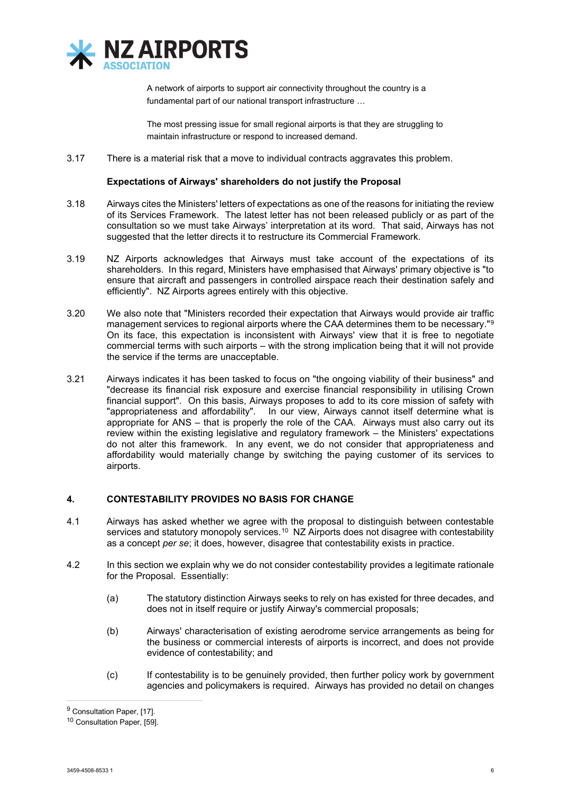

A network of airports to support air connectivity throughout the country is a fundamental part of our national transport infrastructure …

The most pressing issue for small regional airports is that they are struggling to maintain infrastructure or respond to increased demand.

3.17 There is a material risk that a move to individual contracts aggravates this problem.

#### **Expectations of Airways' shareholders do not justify the Proposal**

- 3.18 Airways cites the Ministers' letters of expectations as one of the reasons for initiating the review of its Services Framework. The latest letter has not been released publicly or as part of the consultation so we must take Airways' interpretation at its word. That said, Airways has not suggested that the letter directs it to restructure its Commercial Framework.
- 3.19 NZ Airports acknowledges that Airways must take account of the expectations of its shareholders. In this regard, Ministers have emphasised that Airways' primary objective is "to ensure that aircraft and passengers in controlled airspace reach their destination safely and efficiently". NZ Airports agrees entirely with this objective.
- 3.20 We also note that "Ministers recorded their expectation that Airways would provide air traffic management services to regional airports where the CAA determines them to be necessary."[9](#page-6-0)  On its face, this expectation is inconsistent with Airways' view that it is free to negotiate commercial terms with such airports – with the strong implication being that it will not provide the service if the terms are unacceptable.
- 3.21 Airways indicates it has been tasked to focus on "the ongoing viability of their business" and "decrease its financial risk exposure and exercise financial responsibility in utilising Crown financial support". On this basis, Airways proposes to add to its core mission of safety with "appropriateness and affordability". In our view, Airways cannot itself determine what is appropriate for ANS – that is properly the role of the CAA. Airways must also carry out its review within the existing legislative and regulatory framework – the Ministers' expectations do not alter this framework. In any event, we do not consider that appropriateness and affordability would materially change by switching the paying customer of its services to airports.

#### **4. CONTESTABILITY PROVIDES NO BASIS FOR CHANGE**

- 4.1 Airways has asked whether we agree with the proposal to distinguish between contestable services and statutory monopoly services.<sup>[10](#page-6-1)</sup> NZ Airports does not disagree with contestability as a concept *per se*; it does, however, disagree that contestability exists in practice.
- 4.2 In this section we explain why we do not consider contestability provides a legitimate rationale for the Proposal. Essentially:
	- (a) The statutory distinction Airways seeks to rely on has existed for three decades, and does not in itself require or justify Airway's commercial proposals;
	- (b) Airways' characterisation of existing aerodrome service arrangements as being for the business or commercial interests of airports is incorrect, and does not provide evidence of contestability; and
	- (c) If contestability is to be genuinely provided, then further policy work by government agencies and policymakers is required. Airways has provided no detail on changes

<span id="page-6-0"></span><sup>9</sup> Consultation Paper, [17].

<span id="page-6-1"></span><sup>10</sup> Consultation Paper, [59].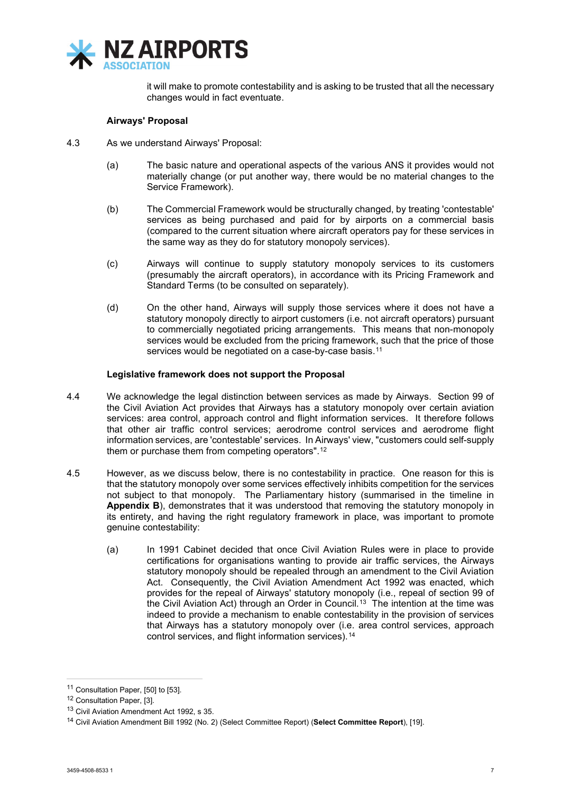

it will make to promote contestability and is asking to be trusted that all the necessary changes would in fact eventuate.

## **Airways' Proposal**

- 4.3 As we understand Airways' Proposal:
	- (a) The basic nature and operational aspects of the various ANS it provides would not materially change (or put another way, there would be no material changes to the Service Framework).
	- (b) The Commercial Framework would be structurally changed, by treating 'contestable' services as being purchased and paid for by airports on a commercial basis (compared to the current situation where aircraft operators pay for these services in the same way as they do for statutory monopoly services).
	- (c) Airways will continue to supply statutory monopoly services to its customers (presumably the aircraft operators), in accordance with its Pricing Framework and Standard Terms (to be consulted on separately).
	- (d) On the other hand, Airways will supply those services where it does not have a statutory monopoly directly to airport customers (i.e. not aircraft operators) pursuant to commercially negotiated pricing arrangements. This means that non-monopoly services would be excluded from the pricing framework, such that the price of those services would be negotiated on a case-by-case basis.<sup>[11](#page-7-0)</sup>

## **Legislative framework does not support the Proposal**

- 4.4 We acknowledge the legal distinction between services as made by Airways. Section 99 of the Civil Aviation Act provides that Airways has a statutory monopoly over certain aviation services: area control, approach control and flight information services. It therefore follows that other air traffic control services; aerodrome control services and aerodrome flight information services, are 'contestable' services. In Airways' view, "customers could self-supply them or purchase them from competing operators".[12](#page-7-1)
- 4.5 However, as we discuss below, there is no contestability in practice. One reason for this is that the statutory monopoly over some services effectively inhibits competition for the services not subject to that monopoly. The Parliamentary history (summarised in the timeline in **Appendix B**), demonstrates that it was understood that removing the statutory monopoly in its entirety, and having the right regulatory framework in place, was important to promote genuine contestability:
	- (a) In 1991 Cabinet decided that once Civil Aviation Rules were in place to provide certifications for organisations wanting to provide air traffic services, the Airways statutory monopoly should be repealed through an amendment to the Civil Aviation Act. Consequently, the Civil Aviation Amendment Act 1992 was enacted, which provides for the repeal of Airways' statutory monopoly (i.e., repeal of section 99 of the Civil Aviation Act) through an Order in Council.<sup>13</sup> The intention at the time was indeed to provide a mechanism to enable contestability in the provision of services that Airways has a statutory monopoly over (i.e. area control services, approach control services, and flight information services).<sup>[14](#page-7-3)</sup>

<span id="page-7-0"></span><sup>11</sup> Consultation Paper, [50] to [53].

<span id="page-7-1"></span><sup>12</sup> Consultation Paper, [3].

<span id="page-7-2"></span><sup>13</sup> Civil Aviation Amendment Act 1992, s 35.

<span id="page-7-3"></span><sup>14</sup> Civil Aviation Amendment Bill 1992 (No. 2) (Select Committee Report) (**Select Committee Report**), [19].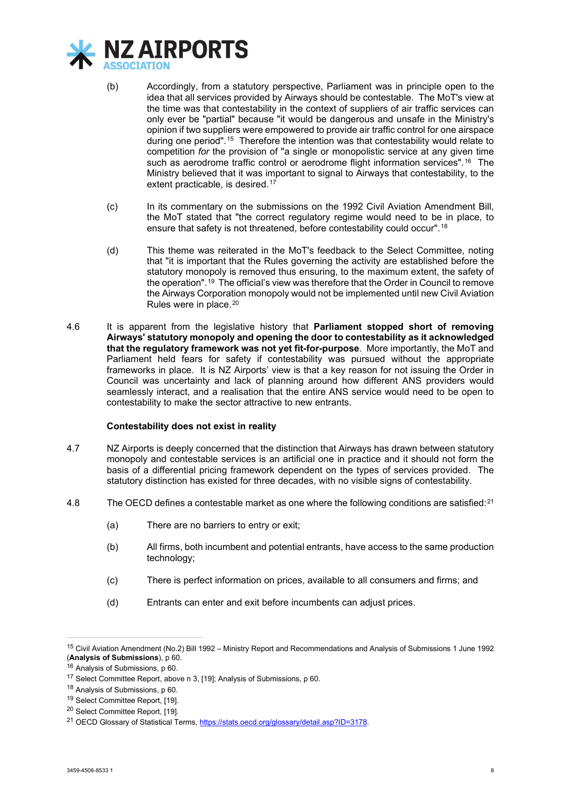

- (b) Accordingly, from a statutory perspective, Parliament was in principle open to the idea that all services provided by Airways should be contestable. The MoT's view at the time was that contestability in the context of suppliers of air traffic services can only ever be "partial" because "it would be dangerous and unsafe in the Ministry's opinion if two suppliers were empowered to provide air traffic control for one airspace during one period".[15](#page-8-0) Therefore the intention was that contestability would relate to competition *for* the provision of "a single or monopolistic service at any given time such as aerodrome traffic control or aerodrome flight information services".<sup>[16](#page-8-1)</sup> The Ministry believed that it was important to signal to Airways that contestability, to the extent practicable, is desired.<sup>[17](#page-8-2)</sup>
- (c) In its commentary on the submissions on the 1992 Civil Aviation Amendment Bill, the MoT stated that "the correct regulatory regime would need to be in place, to ensure that safety is not threatened, before contestability could occur".<sup>[18](#page-8-3)</sup>
- (d) This theme was reiterated in the MoT's feedback to the Select Committee, noting that "it is important that the Rules governing the activity are established before the statutory monopoly is removed thus ensuring, to the maximum extent, the safety of the operation".[19](#page-8-4) The official's view was therefore that the Order in Council to remove the Airways Corporation monopoly would not be implemented until new Civil Aviation Rules were in place.<sup>20</sup>
- 4.6 It is apparent from the legislative history that **Parliament stopped short of removing Airways' statutory monopoly and opening the door to contestability as it acknowledged that the regulatory framework was not yet fit-for-purpose**. More importantly, the MoT and Parliament held fears for safety if contestability was pursued without the appropriate frameworks in place. It is NZ Airports' view is that a key reason for not issuing the Order in Council was uncertainty and lack of planning around how different ANS providers would seamlessly interact, and a realisation that the entire ANS service would need to be open to contestability to make the sector attractive to new entrants.

## **Contestability does not exist in reality**

- 4.7 NZ Airports is deeply concerned that the distinction that Airways has drawn between statutory monopoly and contestable services is an artificial one in practice and it should not form the basis of a differential pricing framework dependent on the types of services provided. The statutory distinction has existed for three decades, with no visible signs of contestability.
- 4.8 The OECD defines a contestable market as one where the following conditions are satisfied:[21](#page-8-6)
	- (a) There are no barriers to entry or exit;
	- (b) All firms, both incumbent and potential entrants, have access to the same production technology;
	- (c) There is perfect information on prices, available to all consumers and firms; and
	- (d) Entrants can enter and exit before incumbents can adjust prices.

<span id="page-8-0"></span><sup>15</sup> Civil Aviation Amendment (No.2) Bill 1992 – Ministry Report and Recommendations and Analysis of Submissions 1 June 1992 (**Analysis of Submissions**), p 60.

<span id="page-8-1"></span><sup>16</sup> Analysis of Submissions, p 60.

<span id="page-8-2"></span><sup>17</sup> Select Committee Report, above n 3, [19]; Analysis of Submissions, p 60.

<span id="page-8-3"></span><sup>18</sup> Analysis of Submissions, p 60.

<span id="page-8-4"></span><sup>19</sup> Select Committee Report, [19].

<span id="page-8-5"></span><sup>20</sup> Select Committee Report, [19].

<span id="page-8-6"></span><sup>&</sup>lt;sup>21</sup> OECD Glossary of Statistical Terms, https://stats.oecd.org/glossary/detail.asp?ID=3178.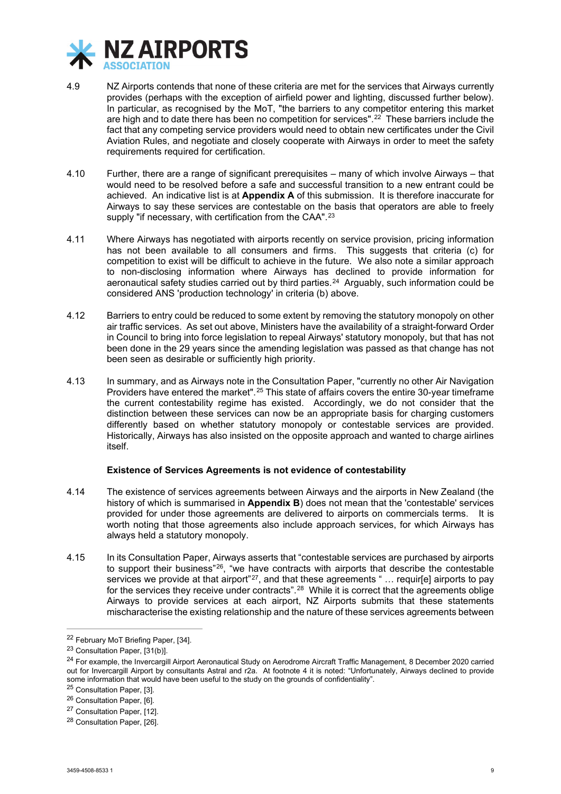

- 4.9 NZ Airports contends that none of these criteria are met for the services that Airways currently provides (perhaps with the exception of airfield power and lighting, discussed further below). In particular, as recognised by the MoT, "the barriers to any competitor entering this market are high and to date there has been no competition for services".<sup>22</sup> These barriers include the fact that any competing service providers would need to obtain new certificates under the Civil Aviation Rules, and negotiate and closely cooperate with Airways in order to meet the safety requirements required for certification.
- 4.10 Further, there are a range of significant prerequisites many of which involve Airways that would need to be resolved before a safe and successful transition to a new entrant could be achieved. An indicative list is at **Appendix A** of this submission. It is therefore inaccurate for Airways to say these services are contestable on the basis that operators are able to freely supply "if necessary, with certification from the CAA".<sup>23</sup>
- 4.11 Where Airways has negotiated with airports recently on service provision, pricing information has not been available to all consumers and firms. This suggests that criteria (c) for competition to exist will be difficult to achieve in the future. We also note a similar approach to non-disclosing information where Airways has declined to provide information for aeronautical safety studies carried out by third parties.<sup>[24](#page-9-2)</sup> Arguably, such information could be considered ANS 'production technology' in criteria (b) above.
- 4.12 Barriers to entry could be reduced to some extent by removing the statutory monopoly on other air traffic services. As set out above, Ministers have the availability of a straight-forward Order in Council to bring into force legislation to repeal Airways' statutory monopoly, but that has not been done in the 29 years since the amending legislation was passed as that change has not been seen as desirable or sufficiently high priority.
- 4.13 In summary, and as Airways note in the Consultation Paper, "currently no other Air Navigation Providers have entered the market".[25](#page-9-3) This state of affairs covers the entire 30-year timeframe the current contestability regime has existed. Accordingly, we do not consider that the distinction between these services can now be an appropriate basis for charging customers differently based on whether statutory monopoly or contestable services are provided. Historically, Airways has also insisted on the opposite approach and wanted to charge airlines itself.

## **Existence of Services Agreements is not evidence of contestability**

- 4.14 The existence of services agreements between Airways and the airports in New Zealand (the history of which is summarised in **Appendix B**) does not mean that the 'contestable' services provided for under those agreements are delivered to airports on commercials terms. It is worth noting that those agreements also include approach services, for which Airways has always held a statutory monopoly.
- 4.15 In its Consultation Paper, Airways asserts that "contestable services are purchased by airports to support their business"<sup>[26](#page-9-4)</sup>, "we have contracts with airports that describe the contestable services we provide at that airport<sup>"[27](#page-9-5)</sup>, and that these agreements " ... requir[e] airports to pay for the services they receive under contracts".<sup>[28](#page-9-6)</sup> While it is correct that the agreements oblige Airways to provide services at each airport, NZ Airports submits that these statements mischaracterise the existing relationship and the nature of these services agreements between

<span id="page-9-0"></span><sup>22</sup> February MoT Briefing Paper, [34].

<span id="page-9-1"></span><sup>23</sup> Consultation Paper, [31(b)].

<span id="page-9-2"></span><sup>&</sup>lt;sup>24</sup> For example, the Invercargill Airport Aeronautical Study on Aerodrome Aircraft Traffic Management, 8 December 2020 carried out for Invercargill Airport by consultants Astral and r2a. At footnote 4 it is noted: "Unfortunately, Airways declined to provide some information that would have been useful to the study on the grounds of confidentiality".

<span id="page-9-3"></span><sup>25</sup> Consultation Paper, [3].

<span id="page-9-4"></span><sup>26</sup> Consultation Paper, [6].

<span id="page-9-5"></span><sup>27</sup> Consultation Paper, [12].

<span id="page-9-6"></span><sup>28</sup> Consultation Paper, [26].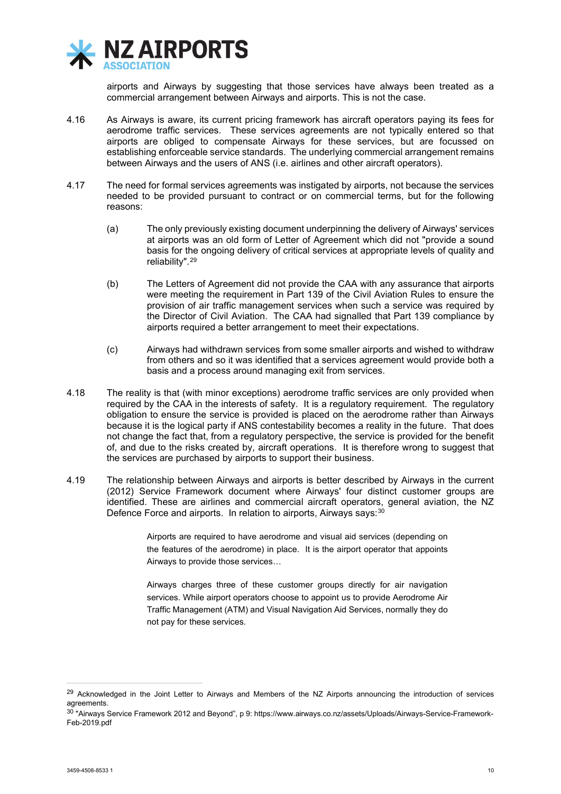

airports and Airways by suggesting that those services have always been treated as a commercial arrangement between Airways and airports. This is not the case.

- 4.16 As Airways is aware, its current pricing framework has aircraft operators paying its fees for aerodrome traffic services. These services agreements are not typically entered so that airports are obliged to compensate Airways for these services, but are focussed on establishing enforceable service standards. The underlying commercial arrangement remains between Airways and the users of ANS (i.e. airlines and other aircraft operators).
- 4.17 The need for formal services agreements was instigated by airports, not because the services needed to be provided pursuant to contract or on commercial terms, but for the following reasons:
	- (a) The only previously existing document underpinning the delivery of Airways' services at airports was an old form of Letter of Agreement which did not "provide a sound basis for the ongoing delivery of critical services at appropriate levels of quality and reliability".[29](#page-10-0)
	- (b) The Letters of Agreement did not provide the CAA with any assurance that airports were meeting the requirement in Part 139 of the Civil Aviation Rules to ensure the provision of air traffic management services when such a service was required by the Director of Civil Aviation. The CAA had signalled that Part 139 compliance by airports required a better arrangement to meet their expectations.
	- (c) Airways had withdrawn services from some smaller airports and wished to withdraw from others and so it was identified that a services agreement would provide both a basis and a process around managing exit from services.
- 4.18 The reality is that (with minor exceptions) aerodrome traffic services are only provided when required by the CAA in the interests of safety. It is a regulatory requirement. The regulatory obligation to ensure the service is provided is placed on the aerodrome rather than Airways because it is the logical party if ANS contestability becomes a reality in the future. That does not change the fact that, from a regulatory perspective, the service is provided for the benefit of, and due to the risks created by, aircraft operations. It is therefore wrong to suggest that the services are purchased by airports to support their business.
- 4.19 The relationship between Airways and airports is better described by Airways in the current (2012) Service Framework document where Airways' four distinct customer groups are identified. These are airlines and commercial aircraft operators, general aviation, the NZ Defence Force and airports. In relation to airports, Airways says: [30](#page-10-1)

Airports are required to have aerodrome and visual aid services (depending on the features of the aerodrome) in place. It is the airport operator that appoints Airways to provide those services…

Airways charges three of these customer groups directly for air navigation services. While airport operators choose to appoint us to provide Aerodrome Air Traffic Management (ATM) and Visual Navigation Aid Services, normally they do not pay for these services.

<span id="page-10-0"></span><sup>&</sup>lt;sup>29</sup> Acknowledged in the Joint Letter to Airways and Members of the NZ Airports announcing the introduction of services agreements.

<span id="page-10-1"></span><sup>30</sup> "Airways Service Framework 2012 and Beyond", p 9: https://www.airways.co.nz/assets/Uploads/Airways-Service-Framework-Feb-2019.pdf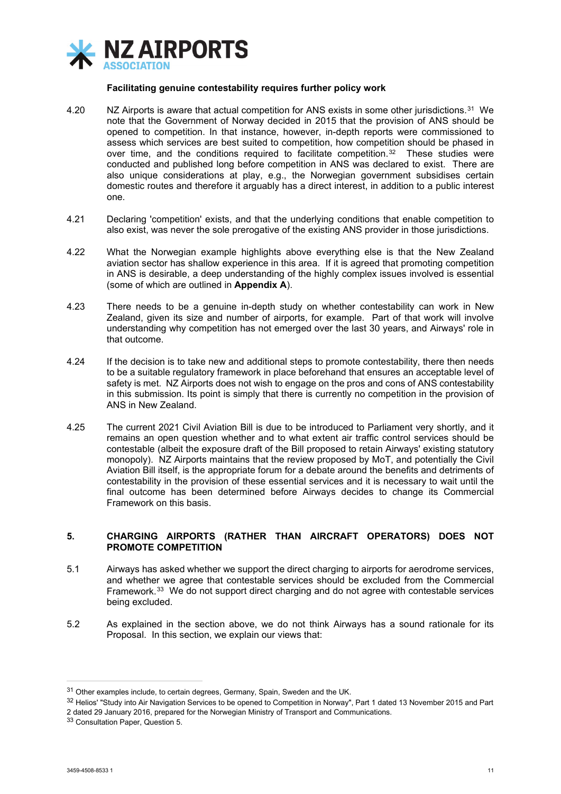

## **Facilitating genuine contestability requires further policy work**

- 4.20 NZ Airports is aware that actual competition for ANS exists in some other jurisdictions.<sup>[31](#page-11-0)</sup> We note that the Government of Norway decided in 2015 that the provision of ANS should be opened to competition. In that instance, however, in-depth reports were commissioned to assess which services are best suited to competition, how competition should be phased in over time, and the conditions required to facilitate competition.<sup>[32](#page-11-1)</sup> These studies were conducted and published long before competition in ANS was declared to exist. There are also unique considerations at play, e.g., the Norwegian government subsidises certain domestic routes and therefore it arguably has a direct interest, in addition to a public interest one.
- 4.21 Declaring 'competition' exists, and that the underlying conditions that enable competition to also exist, was never the sole prerogative of the existing ANS provider in those jurisdictions.
- 4.22 What the Norwegian example highlights above everything else is that the New Zealand aviation sector has shallow experience in this area. If it is agreed that promoting competition in ANS is desirable, a deep understanding of the highly complex issues involved is essential (some of which are outlined in **Appendix A**).
- 4.23 There needs to be a genuine in-depth study on whether contestability can work in New Zealand, given its size and number of airports, for example. Part of that work will involve understanding why competition has not emerged over the last 30 years, and Airways' role in that outcome.
- 4.24 If the decision is to take new and additional steps to promote contestability, there then needs to be a suitable regulatory framework in place beforehand that ensures an acceptable level of safety is met. NZ Airports does not wish to engage on the pros and cons of ANS contestability in this submission. Its point is simply that there is currently no competition in the provision of ANS in New Zealand.
- 4.25 The current 2021 Civil Aviation Bill is due to be introduced to Parliament very shortly, and it remains an open question whether and to what extent air traffic control services should be contestable (albeit the exposure draft of the Bill proposed to retain Airways' existing statutory monopoly). NZ Airports maintains that the review proposed by MoT, and potentially the Civil Aviation Bill itself, is the appropriate forum for a debate around the benefits and detriments of contestability in the provision of these essential services and it is necessary to wait until the final outcome has been determined before Airways decides to change its Commercial Framework on this basis.

## **5. CHARGING AIRPORTS (RATHER THAN AIRCRAFT OPERATORS) DOES NOT PROMOTE COMPETITION**

- 5.1 Airways has asked whether we support the direct charging to airports for aerodrome services, and whether we agree that contestable services should be excluded from the Commercial Framework.<sup>[33](#page-11-2)</sup> We do not support direct charging and do not agree with contestable services being excluded.
- 5.2 As explained in the section above, we do not think Airways has a sound rationale for its Proposal. In this section, we explain our views that:

<span id="page-11-1"></span><span id="page-11-0"></span><sup>&</sup>lt;sup>31</sup> Other examples include, to certain degrees, Germany, Spain, Sweden and the UK.

<sup>&</sup>lt;sup>32</sup> Helios' "Study into Air Navigation Services to be opened to Competition in Norway", Part 1 dated 13 November 2015 and Part 2 dated 29 January 2016, prepared for the Norwegian Ministry of Transport and Communications.

<span id="page-11-2"></span><sup>33</sup> Consultation Paper, Question 5.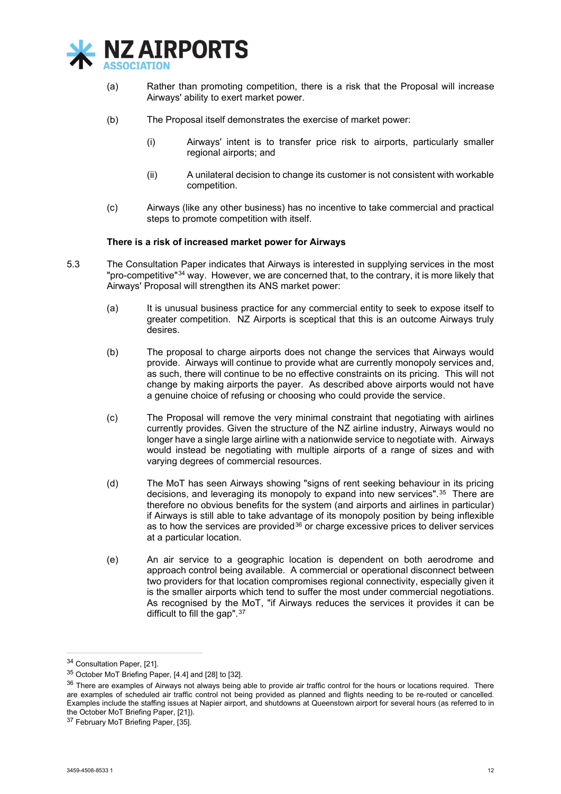

- (a) Rather than promoting competition, there is a risk that the Proposal will increase Airways' ability to exert market power.
- (b) The Proposal itself demonstrates the exercise of market power:
	- (i) Airways' intent is to transfer price risk to airports, particularly smaller regional airports; and
	- (ii) A unilateral decision to change its customer is not consistent with workable competition.
- (c) Airways (like any other business) has no incentive to take commercial and practical steps to promote competition with itself.

## **There is a risk of increased market power for Airways**

- 5.3 The Consultation Paper indicates that Airways is interested in supplying services in the most "pro-competitive"[34](#page-12-0) way. However, we are concerned that, to the contrary, it is more likely that Airways' Proposal will strengthen its ANS market power:
	- (a) It is unusual business practice for any commercial entity to seek to expose itself to greater competition. NZ Airports is sceptical that this is an outcome Airways truly desires.
	- (b) The proposal to charge airports does not change the services that Airways would provide. Airways will continue to provide what are currently monopoly services and, as such, there will continue to be no effective constraints on its pricing. This will not change by making airports the payer. As described above airports would not have a genuine choice of refusing or choosing who could provide the service.
	- (c) The Proposal will remove the very minimal constraint that negotiating with airlines currently provides. Given the structure of the NZ airline industry, Airways would no longer have a single large airline with a nationwide service to negotiate with. Airways would instead be negotiating with multiple airports of a range of sizes and with varying degrees of commercial resources.
	- (d) The MoT has seen Airways showing "signs of rent seeking behaviour in its pricing decisions, and leveraging its monopoly to expand into new services".[35](#page-12-1) There are therefore no obvious benefits for the system (and airports and airlines in particular) if Airways is still able to take advantage of its monopoly position by being inflexible as to how the services are provided<sup>[36](#page-12-2)</sup> or charge excessive prices to deliver services at a particular location.
	- (e) An air service to a geographic location is dependent on both aerodrome and approach control being available. A commercial or operational disconnect between two providers for that location compromises regional connectivity, especially given it is the smaller airports which tend to suffer the most under commercial negotiations. As recognised by the MoT, "if Airways reduces the services it provides it can be difficult to fill the gap".[37](#page-12-3)

<span id="page-12-0"></span><sup>34</sup> Consultation Paper, [21].

<span id="page-12-1"></span><sup>35</sup> October MoT Briefing Paper, [4.4] and [28] to [32].

<span id="page-12-2"></span><sup>36</sup> There are examples of Airways not always being able to provide air traffic control for the hours or locations required. There are examples of scheduled air traffic control not being provided as planned and flights needing to be re-routed or cancelled. Examples include the staffing issues at Napier airport, and shutdowns at Queenstown airport for several hours (as referred to in the October MoT Briefing Paper, [21]).

<span id="page-12-3"></span><sup>37</sup> February MoT Briefing Paper, [35].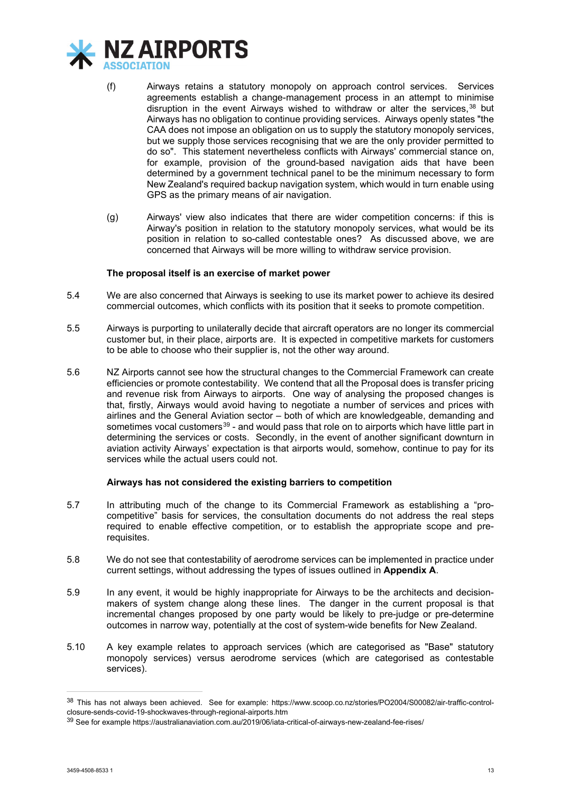

- (f) Airways retains a statutory monopoly on approach control services. Services agreements establish a change-management process in an attempt to minimise disruption in the event Airways wished to withdraw or alter the services,<sup>[38](#page-13-0)</sup> but Airways has no obligation to continue providing services. Airways openly states "the CAA does not impose an obligation on us to supply the statutory monopoly services, but we supply those services recognising that we are the only provider permitted to do so". This statement nevertheless conflicts with Airways' commercial stance on, for example, provision of the ground-based navigation aids that have been determined by a government technical panel to be the minimum necessary to form New Zealand's required backup navigation system, which would in turn enable using GPS as the primary means of air navigation.
- (g) Airways' view also indicates that there are wider competition concerns: if this is Airway's position in relation to the statutory monopoly services, what would be its position in relation to so-called contestable ones? As discussed above, we are concerned that Airways will be more willing to withdraw service provision.

## **The proposal itself is an exercise of market power**

- 5.4 We are also concerned that Airways is seeking to use its market power to achieve its desired commercial outcomes, which conflicts with its position that it seeks to promote competition.
- 5.5 Airways is purporting to unilaterally decide that aircraft operators are no longer its commercial customer but, in their place, airports are. It is expected in competitive markets for customers to be able to choose who their supplier is, not the other way around.
- 5.6 NZ Airports cannot see how the structural changes to the Commercial Framework can create efficiencies or promote contestability. We contend that all the Proposal does is transfer pricing and revenue risk from Airways to airports. One way of analysing the proposed changes is that, firstly, Airways would avoid having to negotiate a number of services and prices with airlines and the General Aviation sector – both of which are knowledgeable, demanding and sometimes vocal customers<sup>[39](#page-13-1)</sup> - and would pass that role on to airports which have little part in determining the services or costs. Secondly, in the event of another significant downturn in aviation activity Airways' expectation is that airports would, somehow, continue to pay for its services while the actual users could not.

## **Airways has not considered the existing barriers to competition**

- 5.7 In attributing much of the change to its Commercial Framework as establishing a "procompetitive" basis for services, the consultation documents do not address the real steps required to enable effective competition, or to establish the appropriate scope and prerequisites.
- 5.8 We do not see that contestability of aerodrome services can be implemented in practice under current settings, without addressing the types of issues outlined in **Appendix A**.
- 5.9 In any event, it would be highly inappropriate for Airways to be the architects and decisionmakers of system change along these lines. The danger in the current proposal is that incremental changes proposed by one party would be likely to pre-judge or pre-determine outcomes in narrow way, potentially at the cost of system-wide benefits for New Zealand.
- 5.10 A key example relates to approach services (which are categorised as "Base" statutory monopoly services) versus aerodrome services (which are categorised as contestable services).

<span id="page-13-0"></span><sup>38</sup> This has not always been achieved. See for example: https://www.scoop.co.nz/stories/PO2004/S00082/air-traffic-controlclosure-sends-covid-19-shockwaves-through-regional-airports.htm

<span id="page-13-1"></span><sup>&</sup>lt;sup>39</sup> See for example https://australianaviation.com.au/2019/06/iata-critical-of-airways-new-zealand-fee-rises/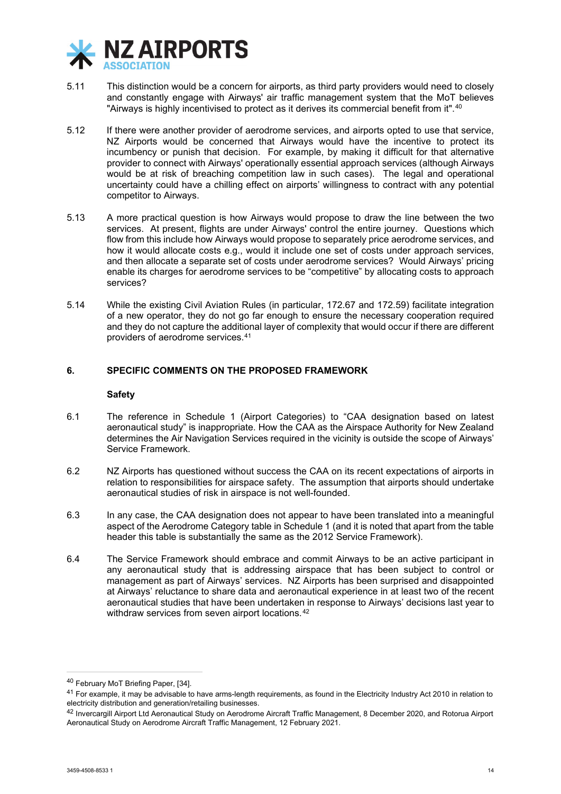

- 5.11 This distinction would be a concern for airports, as third party providers would need to closely and constantly engage with Airways' air traffic management system that the MoT believes "Airways is highly incentivised to protect as it derives its commercial benefit from it".[40](#page-14-0)
- 5.12 If there were another provider of aerodrome services, and airports opted to use that service, NZ Airports would be concerned that Airways would have the incentive to protect its incumbency or punish that decision. For example, by making it difficult for that alternative provider to connect with Airways' operationally essential approach services (although Airways would be at risk of breaching competition law in such cases). The legal and operational uncertainty could have a chilling effect on airports' willingness to contract with any potential competitor to Airways.
- 5.13 A more practical question is how Airways would propose to draw the line between the two services. At present, flights are under Airways' control the entire journey. Questions which flow from this include how Airways would propose to separately price aerodrome services, and how it would allocate costs e.g., would it include one set of costs under approach services, and then allocate a separate set of costs under aerodrome services? Would Airways' pricing enable its charges for aerodrome services to be "competitive" by allocating costs to approach services?
- 5.14 While the existing Civil Aviation Rules (in particular, 172.67 and 172.59) facilitate integration of a new operator, they do not go far enough to ensure the necessary cooperation required and they do not capture the additional layer of complexity that would occur if there are different providers of aerodrome services.[41](#page-14-1)

## **6. SPECIFIC COMMENTS ON THE PROPOSED FRAMEWORK**

#### **Safety**

- 6.1 The reference in Schedule 1 (Airport Categories) to "CAA designation based on latest aeronautical study" is inappropriate. How the CAA as the Airspace Authority for New Zealand determines the Air Navigation Services required in the vicinity is outside the scope of Airways' Service Framework.
- 6.2 NZ Airports has questioned without success the CAA on its recent expectations of airports in relation to responsibilities for airspace safety. The assumption that airports should undertake aeronautical studies of risk in airspace is not well-founded.
- 6.3 In any case, the CAA designation does not appear to have been translated into a meaningful aspect of the Aerodrome Category table in Schedule 1 (and it is noted that apart from the table header this table is substantially the same as the 2012 Service Framework).
- 6.4 The Service Framework should embrace and commit Airways to be an active participant in any aeronautical study that is addressing airspace that has been subject to control or management as part of Airways' services. NZ Airports has been surprised and disappointed at Airways' reluctance to share data and aeronautical experience in at least two of the recent aeronautical studies that have been undertaken in response to Airways' decisions last year to withdraw services from seven airport locations.<sup>[42](#page-14-2)</sup>

<span id="page-14-0"></span><sup>40</sup> February MoT Briefing Paper, [34].

<span id="page-14-1"></span><sup>&</sup>lt;sup>41</sup> For example, it may be advisable to have arms-length requirements, as found in the Electricity Industry Act 2010 in relation to electricity distribution and generation/retailing businesses.

<span id="page-14-2"></span><sup>42</sup> Invercargill Airport Ltd Aeronautical Study on Aerodrome Aircraft Traffic Management, 8 December 2020, and Rotorua Airport Aeronautical Study on Aerodrome Aircraft Traffic Management, 12 February 2021.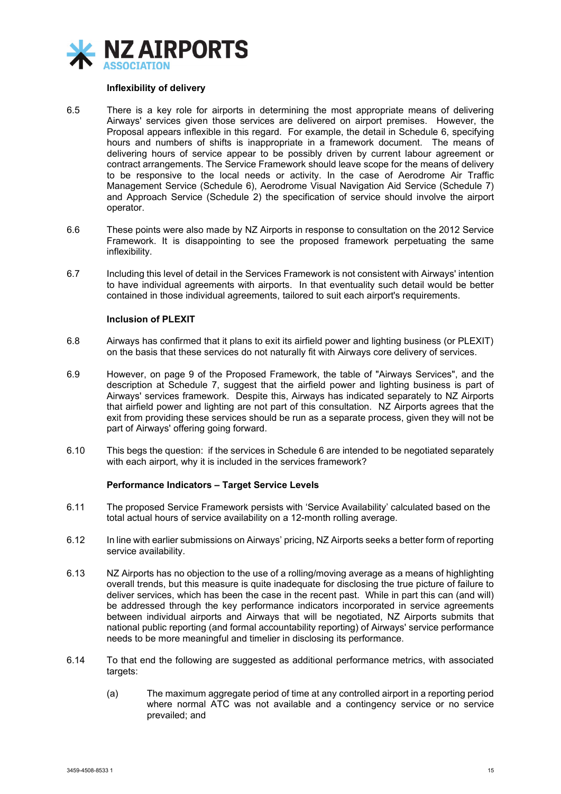

#### **Inflexibility of delivery**

- 6.5 There is a key role for airports in determining the most appropriate means of delivering Airways' services given those services are delivered on airport premises. However, the Proposal appears inflexible in this regard. For example, the detail in Schedule 6, specifying hours and numbers of shifts is inappropriate in a framework document. The means of delivering hours of service appear to be possibly driven by current labour agreement or contract arrangements. The Service Framework should leave scope for the means of delivery to be responsive to the local needs or activity. In the case of Aerodrome Air Traffic Management Service (Schedule 6), Aerodrome Visual Navigation Aid Service (Schedule 7) and Approach Service (Schedule 2) the specification of service should involve the airport operator.
- 6.6 These points were also made by NZ Airports in response to consultation on the 2012 Service Framework. It is disappointing to see the proposed framework perpetuating the same inflexibility.
- 6.7 Including this level of detail in the Services Framework is not consistent with Airways' intention to have individual agreements with airports. In that eventuality such detail would be better contained in those individual agreements, tailored to suit each airport's requirements.

#### **Inclusion of PLEXIT**

- 6.8 Airways has confirmed that it plans to exit its airfield power and lighting business (or PLEXIT) on the basis that these services do not naturally fit with Airways core delivery of services.
- 6.9 However, on page 9 of the Proposed Framework, the table of "Airways Services", and the description at Schedule 7, suggest that the airfield power and lighting business is part of Airways' services framework. Despite this, Airways has indicated separately to NZ Airports that airfield power and lighting are not part of this consultation. NZ Airports agrees that the exit from providing these services should be run as a separate process, given they will not be part of Airways' offering going forward.
- 6.10 This begs the question: if the services in Schedule 6 are intended to be negotiated separately with each airport, why it is included in the services framework?

## **Performance Indicators – Target Service Levels**

- 6.11 The proposed Service Framework persists with 'Service Availability' calculated based on the total actual hours of service availability on a 12-month rolling average.
- 6.12 In line with earlier submissions on Airways' pricing, NZ Airports seeks a better form of reporting service availability.
- 6.13 NZ Airports has no objection to the use of a rolling/moving average as a means of highlighting overall trends, but this measure is quite inadequate for disclosing the true picture of failure to deliver services, which has been the case in the recent past. While in part this can (and will) be addressed through the key performance indicators incorporated in service agreements between individual airports and Airways that will be negotiated, NZ Airports submits that national public reporting (and formal accountability reporting) of Airways' service performance needs to be more meaningful and timelier in disclosing its performance.
- 6.14 To that end the following are suggested as additional performance metrics, with associated targets:
	- (a) The maximum aggregate period of time at any controlled airport in a reporting period where normal ATC was not available and a contingency service or no service prevailed; and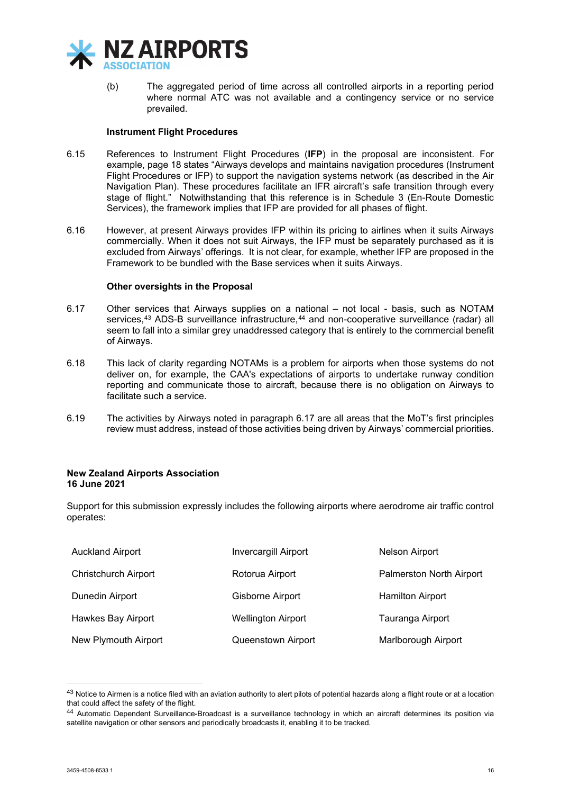

(b) The aggregated period of time across all controlled airports in a reporting period where normal ATC was not available and a contingency service or no service prevailed.

## **Instrument Flight Procedures**

- 6.15 References to Instrument Flight Procedures (**IFP**) in the proposal are inconsistent. For example, page 18 states "Airways develops and maintains navigation procedures (Instrument Flight Procedures or IFP) to support the navigation systems network (as described in the Air Navigation Plan). These procedures facilitate an IFR aircraft's safe transition through every stage of flight." Notwithstanding that this reference is in Schedule 3 (En-Route Domestic Services), the framework implies that IFP are provided for all phases of flight.
- 6.16 However, at present Airways provides IFP within its pricing to airlines when it suits Airways commercially. When it does not suit Airways, the IFP must be separately purchased as it is excluded from Airways' offerings. It is not clear, for example, whether IFP are proposed in the Framework to be bundled with the Base services when it suits Airways.

#### **Other oversights in the Proposal**

- <span id="page-16-0"></span>6.17 Other services that Airways supplies on a national – not local - basis, such as NOTAM services,<sup>[43](#page-16-1)</sup> ADS-B surveillance infrastructure,<sup>[44](#page-16-2)</sup> and non-cooperative surveillance (radar) all seem to fall into a similar grey unaddressed category that is entirely to the commercial benefit of Airways.
- 6.18 This lack of clarity regarding NOTAMs is a problem for airports when those systems do not deliver on, for example, the CAA's expectations of airports to undertake runway condition reporting and communicate those to aircraft, because there is no obligation on Airways to facilitate such a service.
- 6.19 The activities by Airways noted in paragraph [6.17](#page-16-0) are all areas that the MoT's first principles review must address, instead of those activities being driven by Airways' commercial priorities.

#### **New Zealand Airports Association 16 June 2021**

Support for this submission expressly includes the following airports where aerodrome air traffic control operates:

| <b>Auckland Airport</b>     | <b>Invercargill Airport</b> | Nelson Airport           |
|-----------------------------|-----------------------------|--------------------------|
| <b>Christchurch Airport</b> | Rotorua Airport             | Palmerston North Airport |
| Dunedin Airport             | Gisborne Airport            | <b>Hamilton Airport</b>  |
| Hawkes Bay Airport          | <b>Wellington Airport</b>   | Tauranga Airport         |
| New Plymouth Airport        | Queenstown Airport          | Marlborough Airport      |

<span id="page-16-1"></span><sup>&</sup>lt;sup>43</sup> Notice to Airmen is a notice filed with an aviation authority to alert pilots of potential hazards along a flight route or at a location that could affect the safety of the flight.

<span id="page-16-2"></span><sup>44</sup> Automatic Dependent Surveillance-Broadcast is a surveillance technology in which an aircraft determines its position via satellite navigation or other sensors and periodically broadcasts it, enabling it to be tracked.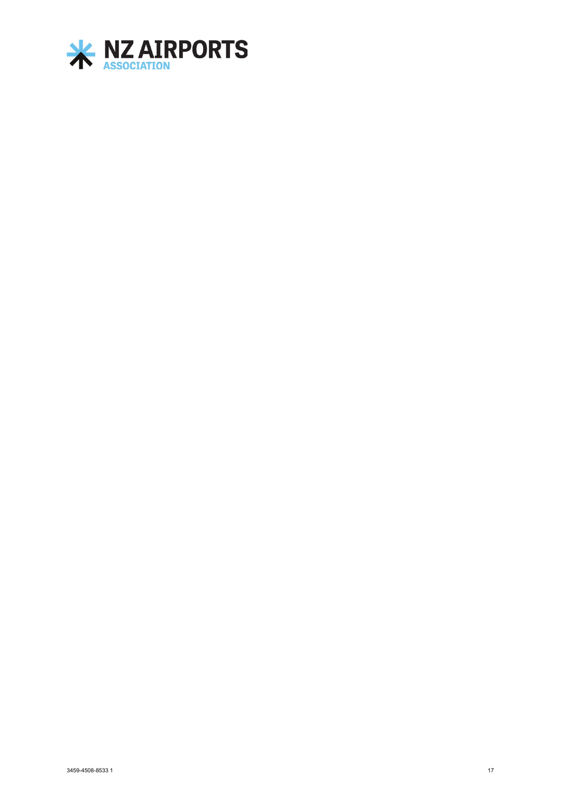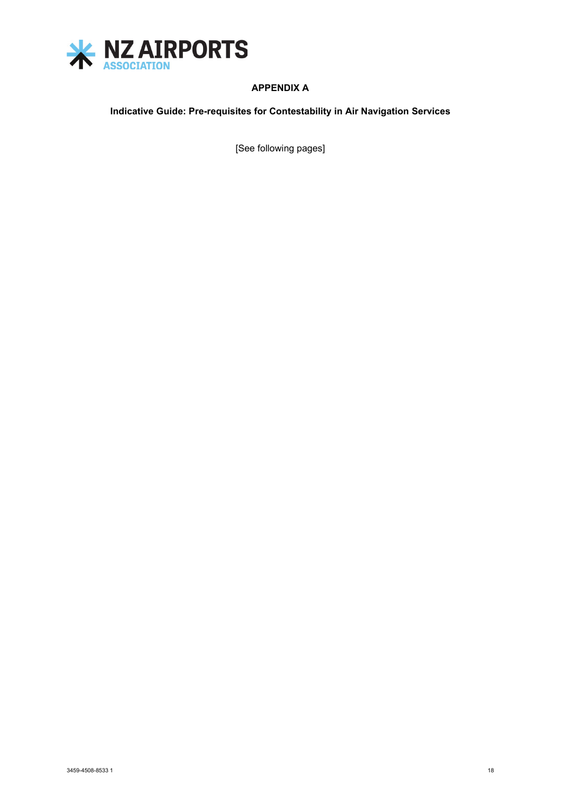

## **APPENDIX A**

**Indicative Guide: Pre-requisites for Contestability in Air Navigation Services**

[See following pages]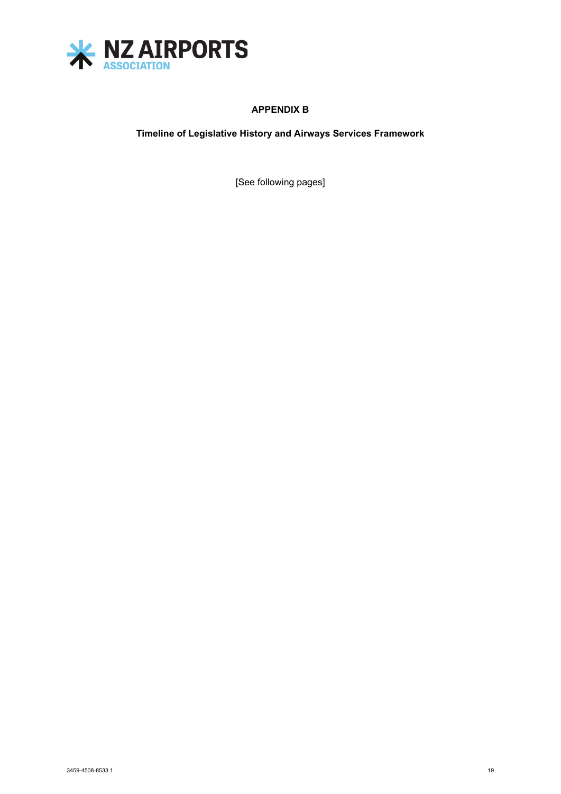

## **APPENDIX B**

**Timeline of Legislative History and Airways Services Framework** 

[See following pages]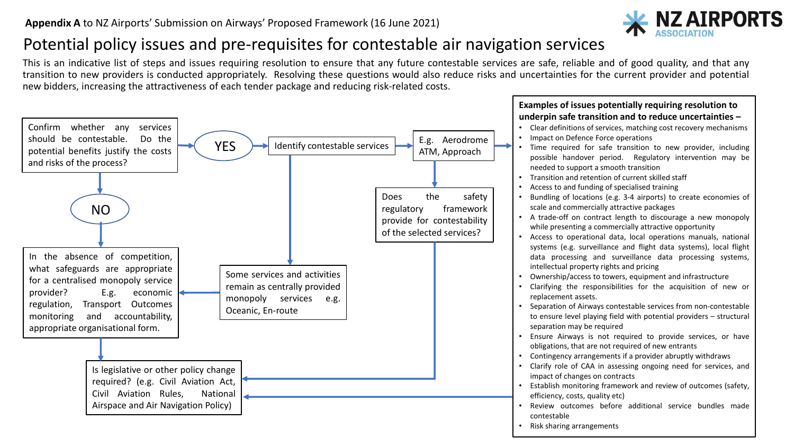

# Potential policy issues and pre-requisites for contestable air navigation services

This is an indicative list of steps and issues requiring resolution to ensure that any future contestable services are safe, reliable and of good quality, and that any transition to new providers is conducted appropriately. Resolving these questions would also reduce risks and uncertainties for the current provider and potential new bidders, increasing the attractiveness of each tender package and reducing risk-related costs.